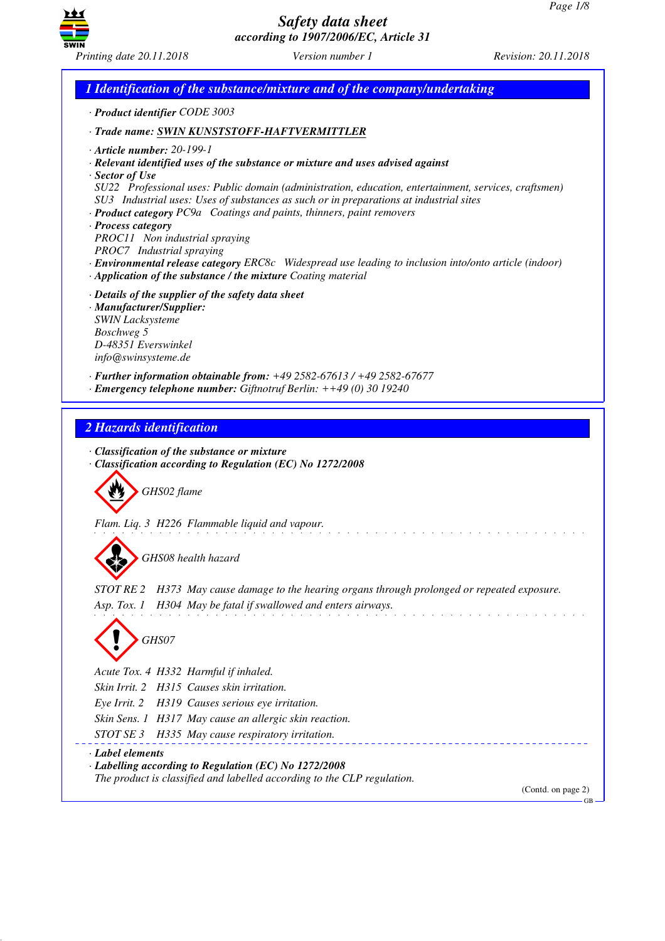

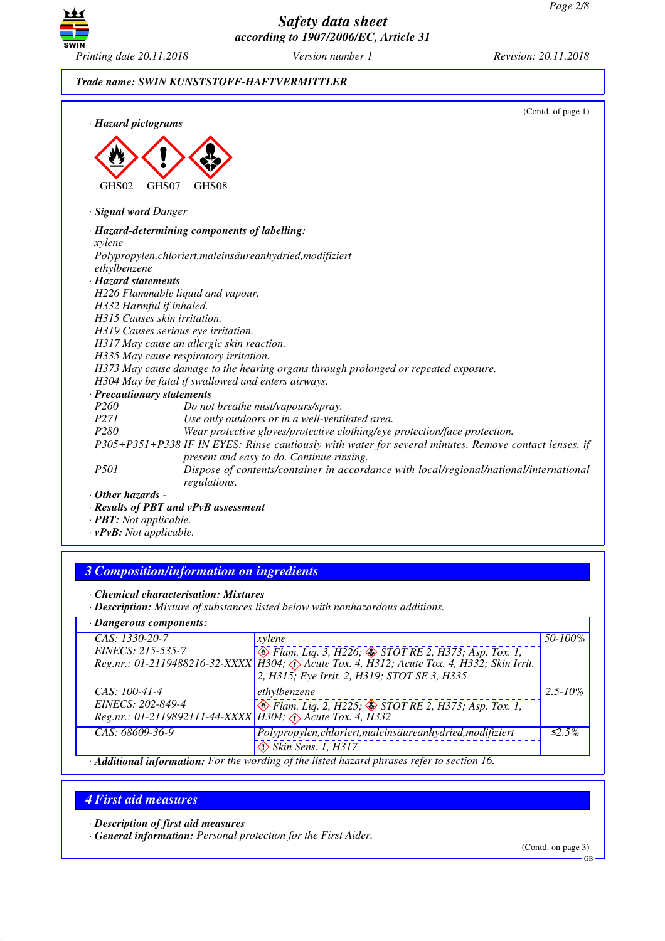

## *Trade name: SWIN KUNSTSTOFF-HAFTVERMITTLER*

| · Hazard pictograms     | (Contd. of page 1)                                                                                                                                 |
|-------------------------|----------------------------------------------------------------------------------------------------------------------------------------------------|
| GHS02                   | GHS07<br>GHS08                                                                                                                                     |
| · Signal word Danger    |                                                                                                                                                    |
|                         | · Hazard-determining components of labelling:                                                                                                      |
| xylene                  |                                                                                                                                                    |
| ethylbenzene            | Polypropylen, chloriert, maleinsäureanhydried, modifiziert                                                                                         |
| · Hazard statements     |                                                                                                                                                    |
|                         | H226 Flammable liquid and vapour.                                                                                                                  |
|                         | H332 Harmful if inhaled.                                                                                                                           |
|                         | H315 Causes skin irritation.                                                                                                                       |
|                         | H319 Causes serious eye irritation.                                                                                                                |
|                         | H317 May cause an allergic skin reaction.                                                                                                          |
|                         | H335 May cause respiratory irritation.                                                                                                             |
|                         | H373 May cause damage to the hearing organs through prolonged or repeated exposure.                                                                |
|                         | H304 May be fatal if swallowed and enters airways.                                                                                                 |
|                         | · Precautionary statements                                                                                                                         |
| P <sub>260</sub>        | Do not breathe mist/vapours/spray.                                                                                                                 |
| <i>P271</i>             | Use only outdoors or in a well-ventilated area.                                                                                                    |
| P280                    | Wear protective gloves/protective clothing/eye protection/face protection.                                                                         |
|                         | P305+P351+P338 IF IN EYES: Rinse cautiously with water for several minutes. Remove contact lenses, if<br>present and easy to do. Continue rinsing. |
| P501                    | Dispose of contents/container in accordance with local/regional/national/international<br>regulations.                                             |
| $\cdot$ Other hazards - |                                                                                                                                                    |
|                         | . Results of PRT and vPvR assessment                                                                                                               |

*· Results of PBT and vPvB assessment*

*· PBT: Not applicable.*

*· vPvB: Not applicable.*

# *3 Composition/information on ingredients*

*· Chemical characterisation: Mixtures*

*· Description: Mixture of substances listed below with nonhazardous additions.*

| · Dangerous components:                                                                     |                                                                                            |              |  |
|---------------------------------------------------------------------------------------------|--------------------------------------------------------------------------------------------|--------------|--|
| $CAS: 1330-20-7$                                                                            | xylene                                                                                     | 50-100%      |  |
| EINECS: 215-535-7                                                                           | $\otimes$ Flam. Liq. 3, H226; $\otimes$ STOT RE 2, H373; Asp. Tox. 1,                      |              |  |
|                                                                                             | Reg.nr.: 01-2119488216-32-XXXX   H304; Acute Tox. 4, H312; Acute Tox. 4, H332; Skin Irrit. |              |  |
|                                                                                             | 2, H315; Eye Irrit. 2, H319; STOT SE 3, H335                                               |              |  |
| $CAS: 100-41-4$                                                                             | ethylbenzene                                                                               | $2.5 - 10\%$ |  |
| EINECS: 202-849-4                                                                           | ◆ Flam. Liq. 2, H225; ◆ STOT RE 2, H373; Asp. Tox. 1,                                      |              |  |
| Reg.nr.: 01-2119892111-44-XXXX H304; Acute Tox. 4, H332                                     |                                                                                            |              |  |
| CAS: 68609-36-9                                                                             | Polypropylen, chloriert, maleinsäureanhydried, modifiziert                                 | $\leq 2.5\%$ |  |
|                                                                                             | $\Leftrightarrow$ Skin Sens. 1, H317                                                       |              |  |
| · Additional information: For the wording of the listed hazard phrases refer to section 16. |                                                                                            |              |  |

# *4 First aid measures*

*· Description of first aid measures*

*· General information: Personal protection for the First Aider.*

(Contd. on page 3)

GB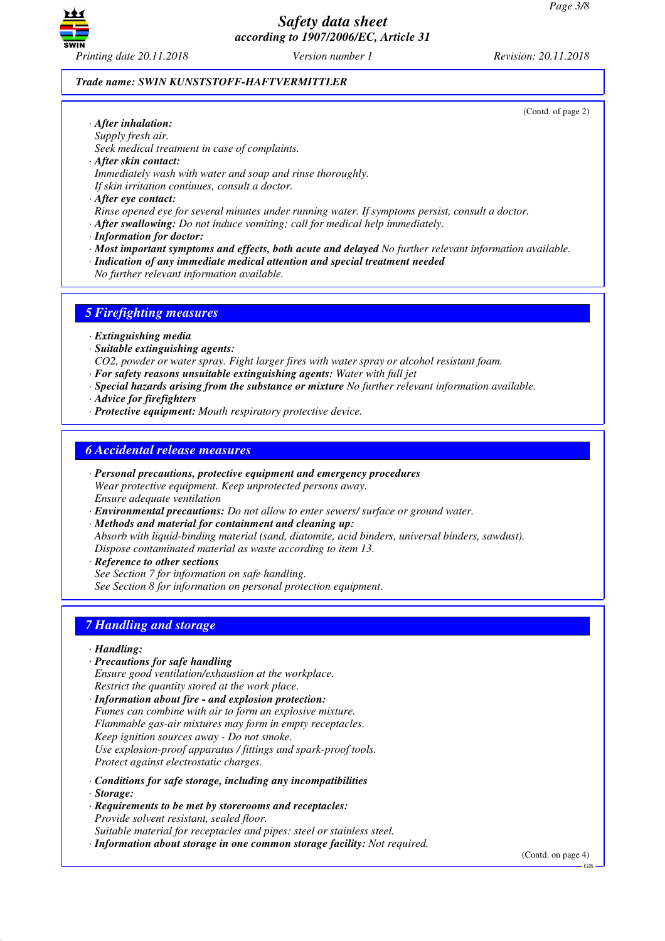

#### *Trade name: SWIN KUNSTSTOFF-HAFTVERMITTLER*

(Contd. of page 2)

- *· After inhalation: Supply fresh air. Seek medical treatment in case of complaints.*
- *· After skin contact: Immediately wash with water and soap and rinse thoroughly. If skin irritation continues, consult a doctor.*
- *· After eye contact:*
- *Rinse opened eye for several minutes under running water. If symptoms persist, consult a doctor.*
- *· After swallowing: Do not induce vomiting; call for medical help immediately.*
- *· Information for doctor:*
- *· Most important symptoms and effects, both acute and delayed No further relevant information available.*
- *· Indication of any immediate medical attention and special treatment needed*
- *No further relevant information available.*

## *5 Firefighting measures*

- *· Extinguishing media*
- *· Suitable extinguishing agents:*
- *CO2, powder or water spray. Fight larger fires with water spray or alcohol resistant foam.*
- *· For safety reasons unsuitable extinguishing agents: Water with full jet*
- *· Special hazards arising from the substance or mixture No further relevant information available.*
- *· Advice for firefighters*
- *· Protective equipment: Mouth respiratory protective device.*

## *6 Accidental release measures*

- *· Personal precautions, protective equipment and emergency procedures Wear protective equipment. Keep unprotected persons away. Ensure adequate ventilation*
- *· Environmental precautions: Do not allow to enter sewers/ surface or ground water.*
- *· Methods and material for containment and cleaning up: Absorb with liquid-binding material (sand, diatomite, acid binders, universal binders, sawdust). Dispose contaminated material as waste according to item 13.*
- *· Reference to other sections See Section 7 for information on safe handling. See Section 8 for information on personal protection equipment.*

# *7 Handling and storage*

- *· Handling:*
- *· Precautions for safe handling Ensure good ventilation/exhaustion at the workplace. Restrict the quantity stored at the work place.*
- *· Information about fire and explosion protection: Fumes can combine with air to form an explosive mixture. Flammable gas-air mixtures may form in empty receptacles. Keep ignition sources away - Do not smoke. Use explosion-proof apparatus / fittings and spark-proof tools. Protect against electrostatic charges.*
- *· Conditions for safe storage, including any incompatibilities*
- *· Storage:*
- *· Requirements to be met by storerooms and receptacles: Provide solvent resistant, sealed floor. Suitable material for receptacles and pipes: steel or stainless steel.*
- *· Information about storage in one common storage facility: Not required.*

(Contd. on page 4)

GB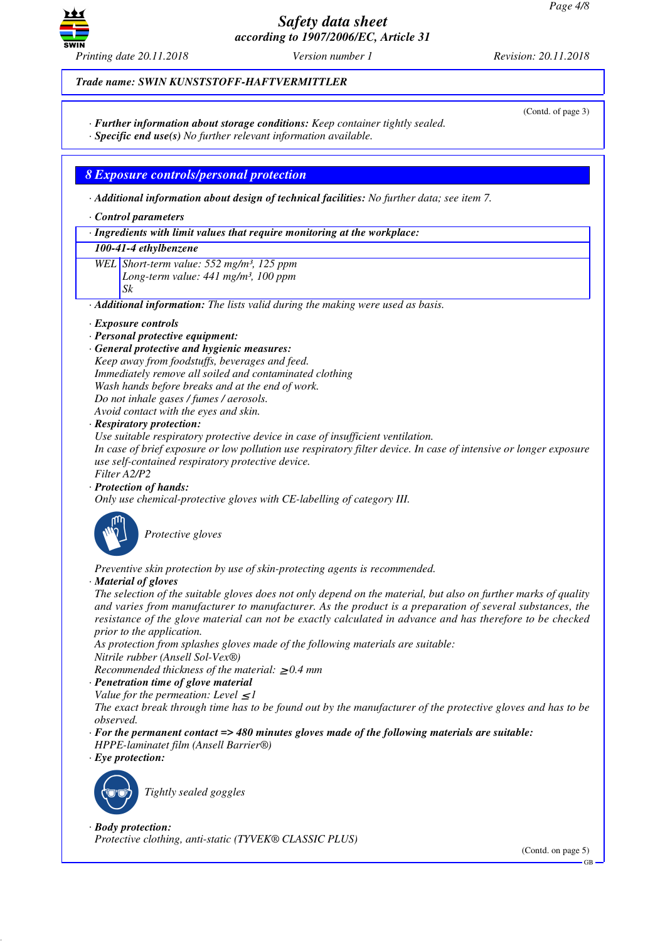

(Contd. of page 3)

## *Trade name: SWIN KUNSTSTOFF-HAFTVERMITTLER*

- *· Further information about storage conditions: Keep container tightly sealed.*
- *· Specific end use(s) No further relevant information available.*

# *8 Exposure controls/personal protection*

*· Additional information about design of technical facilities: No further data; see item 7.*

*· Control parameters*

*· Ingredients with limit values that require monitoring at the workplace:*

#### *100-41-4 ethylbenzene*

*WEL Short-term value: 552 mg/m³, 125 ppm Long-term value: 441 mg/m³, 100 ppm*

*Sk*

*· Additional information: The lists valid during the making were used as basis.*

#### *· Exposure controls*

- *· Personal protective equipment:*
- *· General protective and hygienic measures:*
- *Keep away from foodstuffs, beverages and feed.*
- *Immediately remove all soiled and contaminated clothing*

*Wash hands before breaks and at the end of work.*

*Do not inhale gases / fumes / aerosols.*

*Avoid contact with the eyes and skin.*

## *· Respiratory protection:*

*Use suitable respiratory protective device in case of insufficient ventilation.*

*In case of brief exposure or low pollution use respiratory filter device. In case of intensive or longer exposure use self-contained respiratory protective device.*

*Filter A2/P2*

*· Protection of hands:*

*Only use chemical-protective gloves with CE-labelling of category III.*



\_S*Protective gloves*

*Preventive skin protection by use of skin-protecting agents is recommended.*

#### *· Material of gloves*

*The selection of the suitable gloves does not only depend on the material, but also on further marks of quality and varies from manufacturer to manufacturer. As the product is a preparation of several substances, the resistance of the glove material can not be exactly calculated in advance and has therefore to be checked prior to the application.*

*As protection from splashes gloves made of the following materials are suitable: Nitrile rubber (Ansell Sol-Vex®)*

*Recommended thickness of the material:* ≥ *0.4 mm*

# *· Penetration time of glove material*

*Value for the permeation: Level*  $\leq$  *I* 

*The exact break through time has to be found out by the manufacturer of the protective gloves and has to be observed.*

*· For the permanent contact => 480 minutes gloves made of the following materials are suitable: HPPE-laminatet film (Ansell Barrier®)*

*· Eye protection:*



\_R*Tightly sealed goggles*

*· Body protection:*

*Protective clothing, anti-static (TYVEK® CLASSIC PLUS)*

(Contd. on page 5)

GB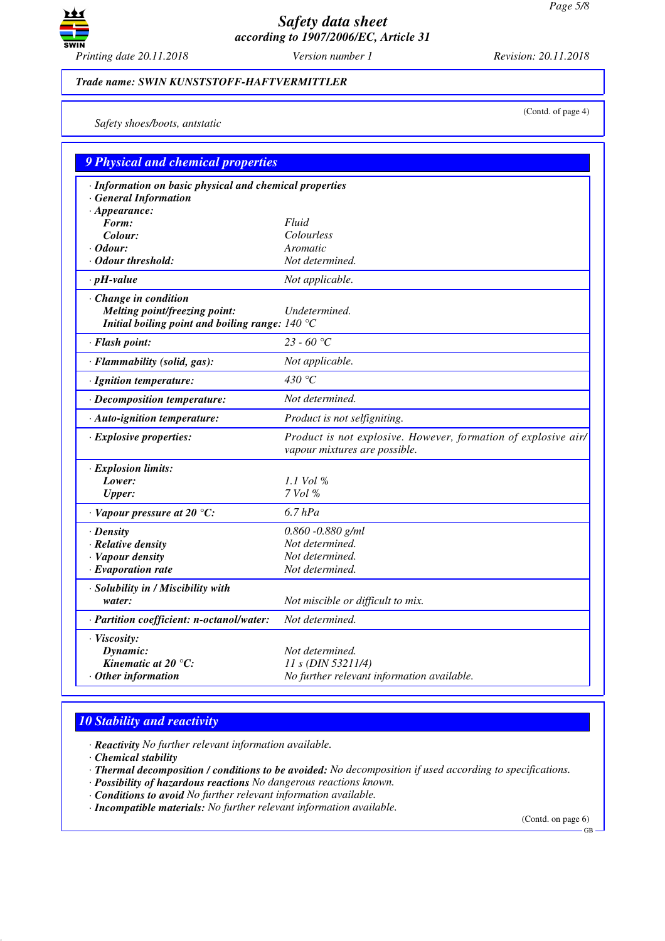

(Contd. of page 4)

#### *Trade name: SWIN KUNSTSTOFF-HAFTVERMITTLER*

*Safety shoes/boots, antstatic*

| <b>9 Physical and chemical properties</b>                                                                          |                                                                                                 |  |
|--------------------------------------------------------------------------------------------------------------------|-------------------------------------------------------------------------------------------------|--|
| · Information on basic physical and chemical properties<br>· General Information                                   |                                                                                                 |  |
| $\cdot$ Appearance:                                                                                                |                                                                                                 |  |
| Form:                                                                                                              | Fluid                                                                                           |  |
| Colour:                                                                                                            | Colourless                                                                                      |  |
| $\cdot$ Odour:                                                                                                     | Aromatic                                                                                        |  |
| · Odour threshold:                                                                                                 | Not determined.                                                                                 |  |
| $\cdot$ pH-value                                                                                                   | Not applicable.                                                                                 |  |
| · Change in condition<br>Melting point/freezing point:<br>Initial boiling point and boiling range: $140^{\circ}$ C | Undetermined.                                                                                   |  |
| · Flash point:                                                                                                     | 23 - 60 °C                                                                                      |  |
| · Flammability (solid, gas):                                                                                       | Not applicable.                                                                                 |  |
| · Ignition temperature:                                                                                            | 430 °C                                                                                          |  |
| · Decomposition temperature:                                                                                       | Not determined.                                                                                 |  |
| · Auto-ignition temperature:                                                                                       | Product is not selfigniting.                                                                    |  |
| · Explosive properties:                                                                                            | Product is not explosive. However, formation of explosive air/<br>vapour mixtures are possible. |  |
| · Explosion limits:                                                                                                |                                                                                                 |  |
| Lower:                                                                                                             | 1.1 Vol %                                                                                       |  |
| <b>Upper:</b>                                                                                                      | 7 Vol %                                                                                         |  |
| $\cdot$ Vapour pressure at 20 °C:                                                                                  | $6.7$ hPa                                                                                       |  |
| $\cdot$ Density                                                                                                    | $0.860 - 0.880$ g/ml                                                                            |  |
| · Relative density                                                                                                 | Not determined.                                                                                 |  |
| · Vapour density                                                                                                   | Not determined.                                                                                 |  |
| $\cdot$ Evaporation rate                                                                                           | Not determined.                                                                                 |  |
| · Solubility in / Miscibility with                                                                                 |                                                                                                 |  |
| water:                                                                                                             | Not miscible or difficult to mix.                                                               |  |
| · Partition coefficient: n-octanol/water:                                                                          | Not determined.                                                                                 |  |
| $\cdot$ Viscosity:                                                                                                 |                                                                                                 |  |
| Dynamic:                                                                                                           | Not determined.                                                                                 |  |
| Kinematic at $20^{\circ}$ C:                                                                                       | $11 s$ (DIN 53211/4)                                                                            |  |
| $·$ Other information                                                                                              | No further relevant information available.                                                      |  |
|                                                                                                                    |                                                                                                 |  |

# *10 Stability and reactivity*

*· Reactivity No further relevant information available.*

*· Chemical stability*

- *· Thermal decomposition / conditions to be avoided: No decomposition if used according to specifications.*
- *· Possibility of hazardous reactions No dangerous reactions known.*
- *· Conditions to avoid No further relevant information available.*
- *· Incompatible materials: No further relevant information available.*

(Contd. on page 6)

GB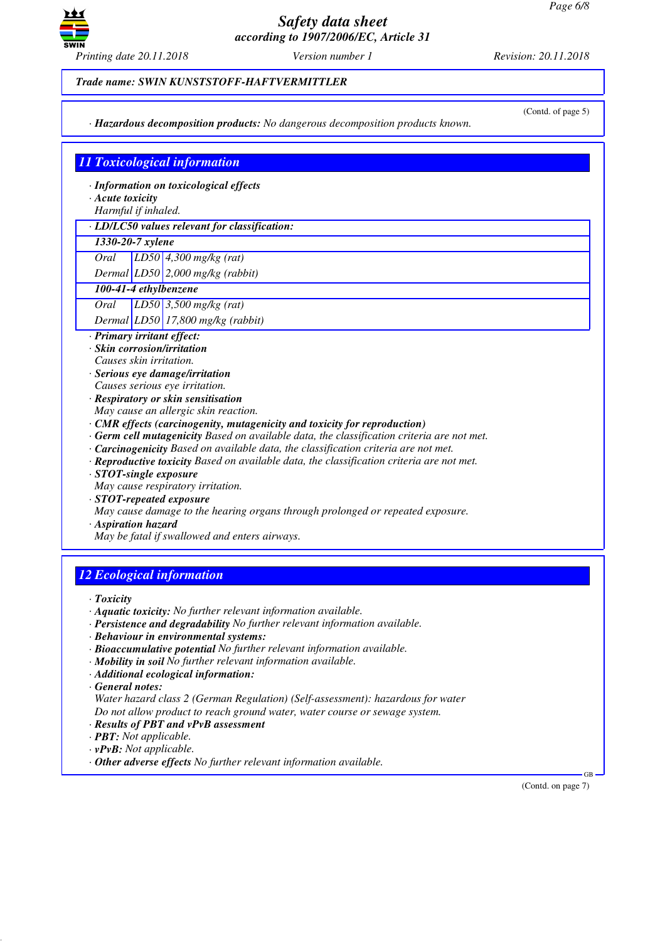

#### *Trade name: SWIN KUNSTSTOFF-HAFTVERMITTLER*

*· Hazardous decomposition products: No dangerous decomposition products known.*

(Contd. of page 5)

# *11 Toxicological information*

*· Information on toxicological effects*

- *· Acute toxicity*
- *Harmful if inhaled.*

*· LD/LC50 values relevant for classification:*

## *1330-20-7 xylene*

*Oral LD50 4,300 mg/kg (rat)*

*Dermal LD50 2,000 mg/kg (rabbit)*

*100-41-4 ethylbenzene*

*Oral LD50 3,500 mg/kg (rat)*

*Dermal LD50 17,800 mg/kg (rabbit)*

- *· Primary irritant effect: · Skin corrosion/irritation*
- *Causes skin irritation.*
- *· Serious eye damage/irritation Causes serious eye irritation.*
- *· Respiratory or skin sensitisation*
- *May cause an allergic skin reaction.*
- *· CMR effects (carcinogenity, mutagenicity and toxicity for reproduction)*
- *· Germ cell mutagenicity Based on available data, the classification criteria are not met.*
- *· Carcinogenicity Based on available data, the classification criteria are not met.*
- *· Reproductive toxicity Based on available data, the classification criteria are not met.*
- *· STOT-single exposure*
- *May cause respiratory irritation.*
- *· STOT-repeated exposure*
- *May cause damage to the hearing organs through prolonged or repeated exposure.*

*· Aspiration hazard*

*May be fatal if swallowed and enters airways.*

# *12 Ecological information*

*· Toxicity*

- *· Aquatic toxicity: No further relevant information available.*
- *· Persistence and degradability No further relevant information available.*
- *· Behaviour in environmental systems:*
- *· Bioaccumulative potential No further relevant information available.*
- *· Mobility in soil No further relevant information available.*
- *· Additional ecological information:*
- *· General notes:*
- *Water hazard class 2 (German Regulation) (Self-assessment): hazardous for water Do not allow product to reach ground water, water course or sewage system.*
- *· Results of PBT and vPvB assessment*
- *· PBT: Not applicable.*
- *· vPvB: Not applicable.*
- *· Other adverse effects No further relevant information available.*

 GB (Contd. on page 7)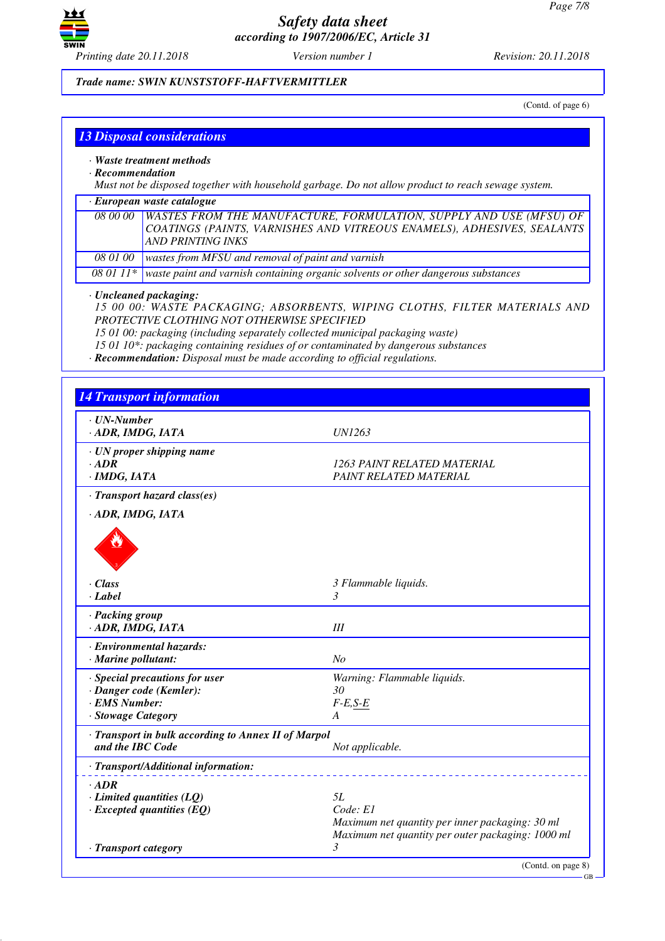

*Trade name: SWIN KUNSTSTOFF-HAFTVERMITTLER*

(Contd. of page 6)

|  | <b>13 Disposal considerations</b> |
|--|-----------------------------------|
|  |                                   |

- *· Waste treatment methods*
- *· Recommendation*

*Must not be disposed together with household garbage. Do not allow product to reach sewage system.*

| $\cdot$ European waste catalogue |                                                                                             |  |
|----------------------------------|---------------------------------------------------------------------------------------------|--|
|                                  | 08 00 00   WASTES FROM THE MANUFACTURE, FORMULATION, SUPPLY AND USE (MFSU) OF               |  |
|                                  | COATINGS (PAINTS, VARNISHES AND VITREOUS ENAMELS), ADHESIVES, SEALANTS                      |  |
|                                  | <b>AND PRINTING INKS</b>                                                                    |  |
| <i>08 01 00</i>                  | wastes from MFSU and removal of paint and varnish                                           |  |
|                                  | 08 01 11* waste paint and varnish containing organic solvents or other dangerous substances |  |
|                                  |                                                                                             |  |

## *· Uncleaned packaging:*

*15 00 00: WASTE PACKAGING; ABSORBENTS, WIPING CLOTHS, FILTER MATERIALS AND PROTECTIVE CLOTHING NOT OTHERWISE SPECIFIED*

*15 01 00: packaging (including separately collected municipal packaging waste)*

*15 01 10\*: packaging containing residues of or contaminated by dangerous substances*

*· Recommendation: Disposal must be made according to official regulations.*

| $\cdot$ UN-Number                                   |                                                   |
|-----------------------------------------------------|---------------------------------------------------|
| · ADR, IMDG, IATA                                   | <b>UN1263</b>                                     |
| · UN proper shipping name                           |                                                   |
| $\cdot$ ADR                                         | 1263 PAINT RELATED MATERIAL                       |
| $·$ <i>IMDG, IATA</i>                               | PAINT RELATED MATERIAL                            |
| · Transport hazard class(es)                        |                                                   |
| · ADR, IMDG, IATA                                   |                                                   |
|                                                     |                                                   |
| · Class                                             | 3 Flammable liquids.                              |
| $\cdot$ Label                                       | 3                                                 |
| · Packing group                                     |                                                   |
| · ADR, IMDG, IATA                                   | III                                               |
| · Environmental hazards:                            |                                                   |
| · Marine pollutant:                                 | N <sub>O</sub>                                    |
| · Special precautions for user                      | Warning: Flammable liquids.                       |
| · Danger code (Kemler):                             | 30                                                |
| · EMS Number:                                       | $F-E, S-E$                                        |
| · Stowage Category                                  | A                                                 |
| · Transport in bulk according to Annex II of Marpol |                                                   |
| and the IBC Code                                    | Not applicable.                                   |
| · Transport/Additional information:                 |                                                   |
| $\cdot$ ADR                                         |                                                   |
| $\cdot$ Limited quantities (LQ)                     | 5L                                                |
| $\cdot$ Excepted quantities (EQ)                    | Code: El                                          |
|                                                     | Maximum net quantity per inner packaging: 30 ml   |
|                                                     | Maximum net quantity per outer packaging: 1000 ml |